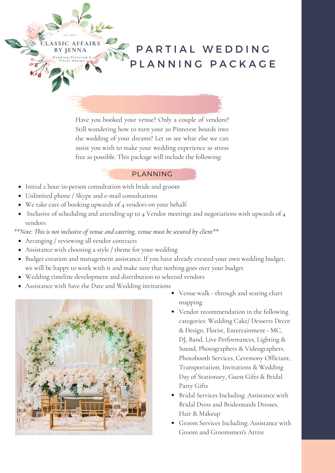PARTIAL WEDDING P L A N N I N G P A C K A G E

Have you booked your venue? Only a couple of vendors? Still wondering how to turn your 20 Pinterest boards into the wedding of your dreams? Let us see what else we can assist you with to make your wedding experience as stress free as possible. This package will include the following:

## PLANNING

- Initial 2 hour in-person consultation with bride and groom
- Unlimited phone / Skype and e-mail consultations
- We take care of booking upwards of 4 vendors on your behalf.
- Inclusive of scheduling and attending up to 4 Vendor meetings and negotiations with upwards of 4 vendors

*\*\*Note: This is not inclusive of venue and catering, venue must be secured by client\*\**

Arranging / reviewing all vendor contracts

LASSIC AFFAIRS BY JENNA

- Assistance with choosing a style / theme for your wedding
- Budget creation and management assistance. If you have already created your own wedding budget, we will be happy to work with it and make sure that nothing goes over your budget
- Wedding timeline development and distribution to selected vendors
- Assistance with Save the Date and Wedding invitations



- Venue walk through and seating chart mapping
- Vendor recommendation in the following categories: Wedding Cake/ Desserts Decor & Design, Florist, Entertainment - MC, DJ, Band, Live Performances, Lighting & Sound, Photographers & Videographers, Photobooth Services, Ceremony Officiant, Transportation, Invitations & Wedding Day of Stationary, Guest Gifts & Bridal Party Gifts
- Bridal Services Including: Assistance with Bridal Dress and Bridesmaids Dresses, Hair & Makeup
- Groom Services Including: Assistance with Groom and Groomsmen's Attire